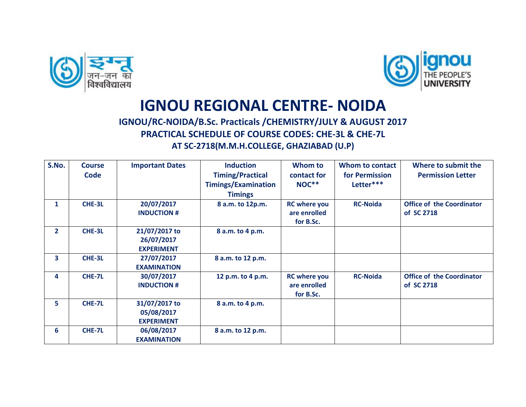



## **IGNOU REGIONAL CENTRE- NOIDA**

## **IGNOU/RC-NOIDA/B.Sc. Practicals /CHEMISTRY/JULY & AUGUST 2017 PRACTICAL SCHEDULE OF COURSE CODES: CHE-3L & CHE-7L AT SC-2718(M.M.H.COLLEGE, GHAZIABAD (U.P)**

| S.No.          | <b>Course</b><br><b>Code</b> | <b>Important Dates</b>                           | <b>Induction</b><br><b>Timing/Practical</b><br><b>Timings/Examination</b><br><b>Timings</b> | Whom to<br>contact for<br><b>NOC**</b>           | Whom to contact<br>for Permission<br>Letter*** | Where to submit the<br><b>Permission Letter</b> |
|----------------|------------------------------|--------------------------------------------------|---------------------------------------------------------------------------------------------|--------------------------------------------------|------------------------------------------------|-------------------------------------------------|
| 1              | CHE-3L                       | 20/07/2017<br><b>INDUCTION #</b>                 | 8 a.m. to 12p.m.                                                                            | <b>RC</b> where you<br>are enrolled<br>for B.Sc. | <b>RC-Noida</b>                                | <b>Office of the Coordinator</b><br>of SC 2718  |
| $\overline{2}$ | CHE-3L                       | 21/07/2017 to<br>26/07/2017<br><b>EXPERIMENT</b> | 8 a.m. to 4 p.m.                                                                            |                                                  |                                                |                                                 |
| 3.             | CHE-3L                       | 27/07/2017<br><b>EXAMINATION</b>                 | 8 a.m. to 12 p.m.                                                                           |                                                  |                                                |                                                 |
| 4              | CHE-7L                       | 30/07/2017<br><b>INDUCTION #</b>                 | 12 p.m. to 4 p.m.                                                                           | <b>RC</b> where you<br>are enrolled<br>for B.Sc. | <b>RC-Noida</b>                                | <b>Office of the Coordinator</b><br>of SC 2718  |
| 5.             | CHE-7L                       | 31/07/2017 to<br>05/08/2017<br><b>EXPERIMENT</b> | 8 a.m. to 4 p.m.                                                                            |                                                  |                                                |                                                 |
| 6              | CHE-7L                       | 06/08/2017<br><b>EXAMINATION</b>                 | 8 a.m. to 12 p.m.                                                                           |                                                  |                                                |                                                 |